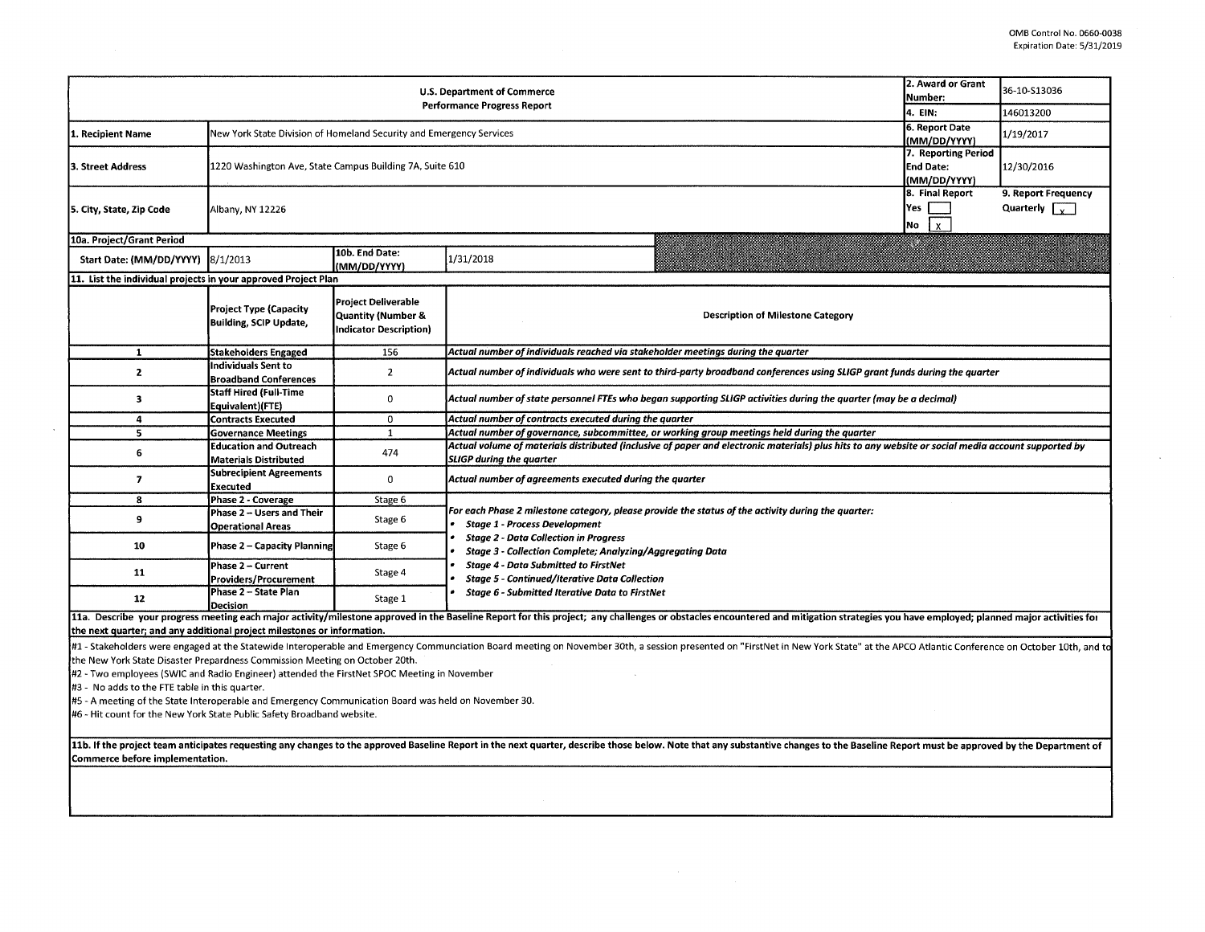$\sim$ 

|                                                                                                                                                                                                                                                                                                               | 2. Award or Grant<br>Number:                                        | 36-10-S13036                                                               |                                                                                                                                                                                                                                                                                                                                                                                                                         |                                     |           |  |  |  |  |
|---------------------------------------------------------------------------------------------------------------------------------------------------------------------------------------------------------------------------------------------------------------------------------------------------------------|---------------------------------------------------------------------|----------------------------------------------------------------------------|-------------------------------------------------------------------------------------------------------------------------------------------------------------------------------------------------------------------------------------------------------------------------------------------------------------------------------------------------------------------------------------------------------------------------|-------------------------------------|-----------|--|--|--|--|
| <b>Performance Progress Report</b>                                                                                                                                                                                                                                                                            |                                                                     |                                                                            |                                                                                                                                                                                                                                                                                                                                                                                                                         |                                     | 146013200 |  |  |  |  |
| 1. Recipient Name                                                                                                                                                                                                                                                                                             | New York State Division of Homeland Security and Emergency Services | 6. Report Date                                                             | 1/19/2017                                                                                                                                                                                                                                                                                                                                                                                                               |                                     |           |  |  |  |  |
|                                                                                                                                                                                                                                                                                                               |                                                                     |                                                                            |                                                                                                                                                                                                                                                                                                                                                                                                                         | (MM/DD/YYYY)<br>7. Reporting Period |           |  |  |  |  |
| 3. Street Address                                                                                                                                                                                                                                                                                             | 1220 Washington Ave, State Campus Building 7A, Suite 610            | <b>End Date:</b><br>(MM/DD/YYYY)                                           | 12/30/2016                                                                                                                                                                                                                                                                                                                                                                                                              |                                     |           |  |  |  |  |
| 5. City, State, Zip Code                                                                                                                                                                                                                                                                                      | Albany, NY 12226                                                    | 8. Final Report<br>Yes<br>No<br>$\mathbf{x}$                               | 9. Report Frequency<br>Quarterly $\sqrt{v}$                                                                                                                                                                                                                                                                                                                                                                             |                                     |           |  |  |  |  |
| 10a. Project/Grant Period                                                                                                                                                                                                                                                                                     |                                                                     |                                                                            |                                                                                                                                                                                                                                                                                                                                                                                                                         |                                     |           |  |  |  |  |
| Start Date: (MM/DD/YYYY)                                                                                                                                                                                                                                                                                      | 8/1/2013                                                            | 10b. End Date:<br>(MM/DD/YYYY)                                             | 1/31/2018                                                                                                                                                                                                                                                                                                                                                                                                               |                                     |           |  |  |  |  |
| 11. List the individual projects in your approved Project Plan                                                                                                                                                                                                                                                |                                                                     |                                                                            |                                                                                                                                                                                                                                                                                                                                                                                                                         |                                     |           |  |  |  |  |
|                                                                                                                                                                                                                                                                                                               | <b>Project Type (Capacity</b><br><b>Building, SCIP Update,</b>      | <b>Project Deliverable</b><br>Quantity (Number &<br>Indicator Description) | <b>Description of Milestone Category</b>                                                                                                                                                                                                                                                                                                                                                                                |                                     |           |  |  |  |  |
| $\mathbf{1}$                                                                                                                                                                                                                                                                                                  | <b>Stakeholders Engaged</b>                                         | 156                                                                        | Actual number of individuals reached via stakeholder meetings during the quarter                                                                                                                                                                                                                                                                                                                                        |                                     |           |  |  |  |  |
| $\mathbf{z}$                                                                                                                                                                                                                                                                                                  | Individuals Sent to<br><b>Broadband Conferences</b>                 | $\overline{2}$                                                             | Actual number of individuals who were sent to third-party broadband conferences using SLIGP grant funds during the quarter                                                                                                                                                                                                                                                                                              |                                     |           |  |  |  |  |
| 3                                                                                                                                                                                                                                                                                                             | <b>Staff Hired (Full-Time</b><br>Equivalent)(FTE)                   | $\Omega$                                                                   | Actual number of state personnel FTEs who began supporting SLIGP activities during the quarter (may be a decimal)                                                                                                                                                                                                                                                                                                       |                                     |           |  |  |  |  |
| 4                                                                                                                                                                                                                                                                                                             | <b>Contracts Executed</b>                                           | $\bf{0}$                                                                   | Actual number of contracts executed during the quarter                                                                                                                                                                                                                                                                                                                                                                  |                                     |           |  |  |  |  |
| 5                                                                                                                                                                                                                                                                                                             | <b>Governance Meetings</b>                                          | $\mathbf{1}$                                                               | Actual number of governance, subcommittee, or working group meetings held during the quarter                                                                                                                                                                                                                                                                                                                            |                                     |           |  |  |  |  |
| 6                                                                                                                                                                                                                                                                                                             | <b>Education and Outreach</b><br><b>Materials Distributed</b>       | 474                                                                        | Actual volume of materials distributed (inclusive of paper and electronic materials) plus hits to any website or social media account supported by<br><b>SLIGP during the quarter</b>                                                                                                                                                                                                                                   |                                     |           |  |  |  |  |
| $\overline{\mathbf{z}}$                                                                                                                                                                                                                                                                                       | <b>Subrecipient Agreements</b><br>Executed                          | 0                                                                          | Actual number of agreements executed during the quarter                                                                                                                                                                                                                                                                                                                                                                 |                                     |           |  |  |  |  |
| 8                                                                                                                                                                                                                                                                                                             | Phase 2 - Coverage                                                  | Stage 6                                                                    |                                                                                                                                                                                                                                                                                                                                                                                                                         |                                     |           |  |  |  |  |
| 9                                                                                                                                                                                                                                                                                                             | Phase 2 - Users and Their<br><b>Operational Areas</b>               | Stage 6                                                                    | For each Phase 2 milestone category, please provide the status of the activity during the quarter:<br><b>Stage 1 - Process Development</b><br><b>Stage 2 - Data Collection in Progress</b><br><b>Stage 3 - Collection Complete; Analyzing/Aggregating Data</b><br><b>Stage 4 - Data Submitted to FirstNet</b><br><b>Stage 5 - Continued/Iterative Data Collection</b><br>Stage 6 - Submitted Iterative Data to FirstNet |                                     |           |  |  |  |  |
| 10                                                                                                                                                                                                                                                                                                            | <b>Phase 2 - Capacity Planning</b>                                  | Stage 6                                                                    |                                                                                                                                                                                                                                                                                                                                                                                                                         |                                     |           |  |  |  |  |
| 11                                                                                                                                                                                                                                                                                                            | Phase 2 - Current<br><b>Providers/Procurement</b>                   | Stage 4                                                                    |                                                                                                                                                                                                                                                                                                                                                                                                                         |                                     |           |  |  |  |  |
| 12                                                                                                                                                                                                                                                                                                            | Phase 2 - State Plan<br><b>Decision</b>                             | Stage 1                                                                    |                                                                                                                                                                                                                                                                                                                                                                                                                         |                                     |           |  |  |  |  |
| 11a. Describe your progress meeting each major activity/milestone approved in the Baseline Report for this project; any challenges or obstacles encountered and mitigation strategies you have employed; planned major activit                                                                                |                                                                     |                                                                            |                                                                                                                                                                                                                                                                                                                                                                                                                         |                                     |           |  |  |  |  |
| the next quarter; and any additional project milestones or information.                                                                                                                                                                                                                                       |                                                                     |                                                                            |                                                                                                                                                                                                                                                                                                                                                                                                                         |                                     |           |  |  |  |  |
| #1 - Stakeholders were engaged at the Statewide Interoperable and Emergency Communciation Board meeting on November 30th, a session presented on "FirstNet in New York State" at the APCO Atlantic Conference on October 10th,<br>the New York State Disaster Prepardness Commission Meeting on October 20th. |                                                                     |                                                                            |                                                                                                                                                                                                                                                                                                                                                                                                                         |                                     |           |  |  |  |  |
| #2 - Two employees (SWIC and Radio Engineer) attended the FirstNet SPOC Meeting in November                                                                                                                                                                                                                   |                                                                     |                                                                            |                                                                                                                                                                                                                                                                                                                                                                                                                         |                                     |           |  |  |  |  |
| #3 - No adds to the FTE table in this quarter.                                                                                                                                                                                                                                                                |                                                                     |                                                                            |                                                                                                                                                                                                                                                                                                                                                                                                                         |                                     |           |  |  |  |  |
| #5 - A meeting of the State Interoperable and Emergency Communication Board was held on November 30.                                                                                                                                                                                                          |                                                                     |                                                                            |                                                                                                                                                                                                                                                                                                                                                                                                                         |                                     |           |  |  |  |  |
| #6 - Hit count for the New York State Public Safety Broadband website.                                                                                                                                                                                                                                        |                                                                     |                                                                            |                                                                                                                                                                                                                                                                                                                                                                                                                         |                                     |           |  |  |  |  |
| 11b. If the project team anticipates requesting any changes to the approved Baseline Report in the next quarter, describe those below. Note that any substantive changes to the Baseline Report must be approved by the Depart                                                                                |                                                                     |                                                                            |                                                                                                                                                                                                                                                                                                                                                                                                                         |                                     |           |  |  |  |  |
| Commerce before implementation.                                                                                                                                                                                                                                                                               |                                                                     |                                                                            |                                                                                                                                                                                                                                                                                                                                                                                                                         |                                     |           |  |  |  |  |
|                                                                                                                                                                                                                                                                                                               |                                                                     |                                                                            |                                                                                                                                                                                                                                                                                                                                                                                                                         |                                     |           |  |  |  |  |

 $\sim$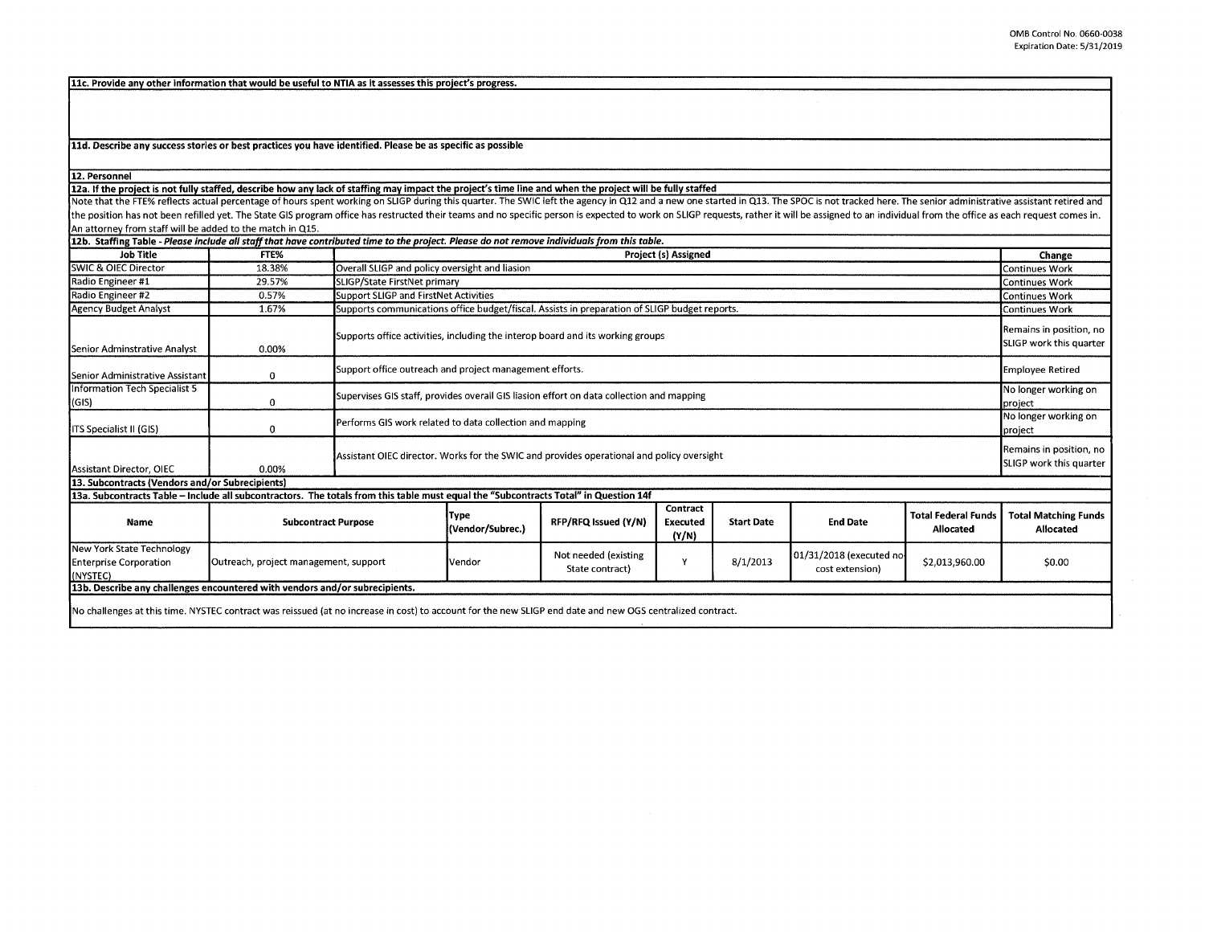**11c. Provide anv other information that would be useful to NTIA as it assesses this project's progress.** 

**11d. Describe any success stories or best practices you have identified. Please be as specific as possible** 

**12. Personnel** 

12a. If the project is not fully staffed, describe how any lack of staffing may impact the project's time line and when the project will be fully staffed

Note that the FTE% reflects actual percentage of hours spent working on SLIGP during this quarter. The SWIC left the agency in Q12 and a new one started in Q13. The SPOC is not tracked here. The senior administrative assis the position has not been refilled yet. The State GIS program office has restructed their teams and no specific person is expected to work on SLIGP requests, rather it will be assigned to an individual from the office as e An attorney from staff will be added to the match in QlS.

| 12b. Staffing Table - Please include all staff that have contributed time to the project. Please do not remove individuals from this table.               |                                       |                                                                                               |                                                                                |                                         |                                      |                   |                                             |                                                    |                                                    |
|-----------------------------------------------------------------------------------------------------------------------------------------------------------|---------------------------------------|-----------------------------------------------------------------------------------------------|--------------------------------------------------------------------------------|-----------------------------------------|--------------------------------------|-------------------|---------------------------------------------|----------------------------------------------------|----------------------------------------------------|
| <b>Job Title</b>                                                                                                                                          | FTE%                                  | <b>Project (s) Assigned</b>                                                                   |                                                                                |                                         |                                      |                   |                                             | Change                                             |                                                    |
| <b>SWIC &amp; OIEC Director</b>                                                                                                                           | 18.38%                                |                                                                                               | Overall SLIGP and policy oversight and liasion                                 |                                         |                                      |                   |                                             | <b>Continues Work</b>                              |                                                    |
| Radio Engineer #1                                                                                                                                         | 29.57%                                |                                                                                               | SLIGP/State FirstNet primary                                                   |                                         |                                      |                   |                                             |                                                    | <b>Continues Work</b>                              |
| Radio Engineer #2                                                                                                                                         | 0.57%                                 |                                                                                               | <b>Support SLIGP and FirstNet Activities</b>                                   |                                         |                                      |                   |                                             |                                                    | <b>Continues Work</b>                              |
| Agency Budget Analyst                                                                                                                                     | 1.67%                                 | Supports communications office budget/fiscal. Assists in preparation of SLIGP budget reports. |                                                                                |                                         |                                      |                   |                                             | Continues Work                                     |                                                    |
| Senior Adminstrative Analyst                                                                                                                              | 0.00%                                 |                                                                                               | Supports office activities, including the interop board and its working groups |                                         |                                      |                   |                                             |                                                    | Remains in position, no<br>SLIGP work this quarter |
| <b>I</b> Senior Administrative Assistant                                                                                                                  | $\Omega$                              | Support office outreach and project management efforts.                                       |                                                                                |                                         |                                      |                   | <b>Employee Retired</b>                     |                                                    |                                                    |
| <b>Information Tech Specialist 5</b><br>(GIS)                                                                                                             | $\Omega$                              | Supervises GIS staff, provides overall GIS liasion effort on data collection and mapping      |                                                                                |                                         |                                      |                   | No longer working on<br>Iproject            |                                                    |                                                    |
| <b>ITS Specialist II (GIS)</b>                                                                                                                            |                                       | Performs GIS work related to data collection and mapping                                      |                                                                                |                                         |                                      |                   |                                             | No longer working on<br>project                    |                                                    |
| Assistant Director, OIEC                                                                                                                                  | 0.00%                                 | Assistant OIEC director. Works for the SWIC and provides operational and policy oversight     |                                                                                |                                         |                                      |                   |                                             | Remains in position, no<br>SLIGP work this quarter |                                                    |
| [13. Subcontracts (Vendors and/or Subrecipients)                                                                                                          |                                       |                                                                                               |                                                                                |                                         |                                      |                   |                                             |                                                    |                                                    |
| 13a. Subcontracts Table - Include all subcontractors. The totals from this table must equal the "Subcontracts Total" in Question 14f                      |                                       |                                                                                               |                                                                                |                                         |                                      |                   |                                             |                                                    |                                                    |
| Name                                                                                                                                                      | <b>Subcontract Purpose</b>            |                                                                                               | Type<br>(Vendor/Subrec.)                                                       | RFP/RFQ Issued (Y/N)                    | Contract<br><b>Executed</b><br>(Y/N) | <b>Start Date</b> | <b>End Date</b>                             | <b>Total Federal Funds</b><br><b>Allocated</b>     | <b>Total Matching Funds</b><br><b>Allocated</b>    |
| New York State Technology<br><b>Enterprise Corporation</b><br>(NYSTEC)                                                                                    | Outreach, project management, support |                                                                                               | <b>Vendor</b>                                                                  | Not needed (existing<br>State contract) | v                                    | 8/1/2013          | 01/31/2018 (executed no-<br>cost extension) | \$2,013,960.00                                     | \$0.00                                             |
| 13b. Describe any challenges encountered with vendors and/or subrecipients.                                                                               |                                       |                                                                                               |                                                                                |                                         |                                      |                   |                                             |                                                    |                                                    |
| No challenges at this time. NYSTEC contract was reissued (at no increase in cost) to account for the new SLIGP end date and new OGS centralized contract. |                                       |                                                                                               |                                                                                |                                         |                                      |                   |                                             |                                                    |                                                    |